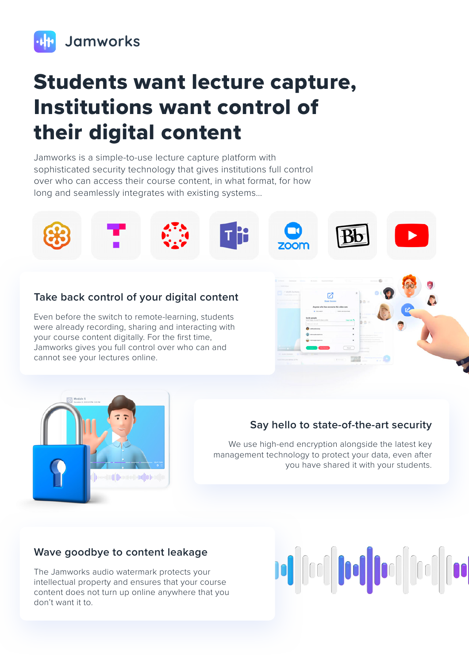

# Students want lecture capture, Institutions want control of their digital content

Jamworks is a simple-to-use lecture capture platform with sophisticated security technology that gives institutions full control over who can access their course content, in what format, for how long and seamlessly integrates with existing systems…



#### **Take back control of your digital content**

Even before the switch to remote-learning, students were already recording, sharing and interacting with your course content digitally. For the first time, Jamworks gives you full control over who can and cannot see your lectures online.





### **Say hello to state-of-the-art security**

We use high-end encryption alongside the latest key management technology to protect your data, even after you have shared it with your students.

#### **Wave goodbye to content leakage**

The Jamworks audio watermark protects your intellectual property and ensures that your course content does not turn up online anywhere that you don't want it to.